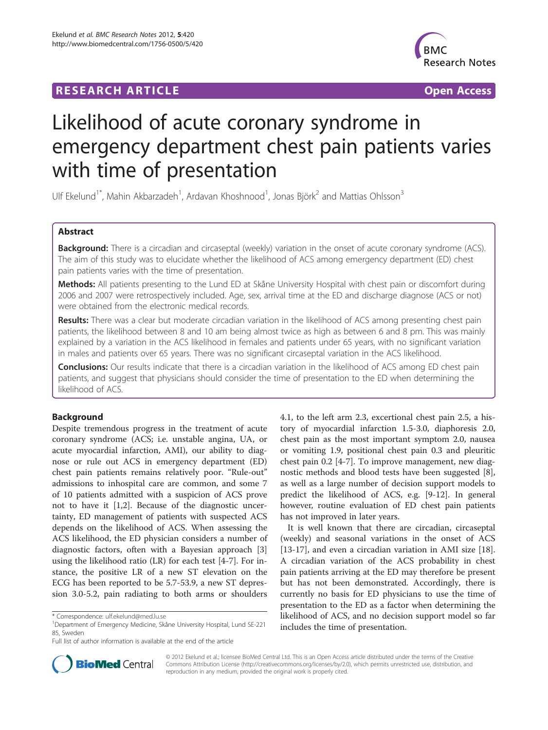## **RESEARCH ARTICLE Example 2014 CONSIDERING A RESEARCH ARTICLE**



# Likelihood of acute coronary syndrome in emergency department chest pain patients varies with time of presentation

Ulf Ekelund<sup>1\*</sup>, Mahin Akbarzadeh<sup>1</sup>, Ardavan Khoshnood<sup>1</sup>, Jonas Björk<sup>2</sup> and Mattias Ohlsson<sup>3</sup>

## Abstract

Background: There is a circadian and circaseptal (weekly) variation in the onset of acute coronary syndrome (ACS). The aim of this study was to elucidate whether the likelihood of ACS among emergency department (ED) chest pain patients varies with the time of presentation.

Methods: All patients presenting to the Lund ED at Skåne University Hospital with chest pain or discomfort during 2006 and 2007 were retrospectively included. Age, sex, arrival time at the ED and discharge diagnose (ACS or not) were obtained from the electronic medical records.

Results: There was a clear but moderate circadian variation in the likelihood of ACS among presenting chest pain patients, the likelihood between 8 and 10 am being almost twice as high as between 6 and 8 pm. This was mainly explained by a variation in the ACS likelihood in females and patients under 65 years, with no significant variation in males and patients over 65 years. There was no significant circaseptal variation in the ACS likelihood.

**Conclusions:** Our results indicate that there is a circadian variation in the likelihood of ACS among ED chest pain patients, and suggest that physicians should consider the time of presentation to the ED when determining the likelihood of ACS.

## Background

Despite tremendous progress in the treatment of acute coronary syndrome (ACS; i.e. unstable angina, UA, or acute myocardial infarction, AMI), our ability to diagnose or rule out ACS in emergency department (ED) chest pain patients remains relatively poor. "Rule-out" admissions to inhospital care are common, and some 7 of 10 patients admitted with a suspicion of ACS prove not to have it [\[1](#page-4-0),[2](#page-4-0)]. Because of the diagnostic uncertainty, ED management of patients with suspected ACS depends on the likelihood of ACS. When assessing the ACS likelihood, the ED physician considers a number of diagnostic factors, often with a Bayesian approach [\[3](#page-4-0)] using the likelihood ratio (LR) for each test [\[4](#page-4-0)-[7\]](#page-4-0). For instance, the positive LR of a new ST elevation on the ECG has been reported to be 5.7-53.9, a new ST depression 3.0-5.2, pain radiating to both arms or shoulders



It is well known that there are circadian, circaseptal (weekly) and seasonal variations in the onset of ACS [[13-17](#page-4-0)], and even a circadian variation in AMI size [\[18](#page-4-0)]. A circadian variation of the ACS probability in chest pain patients arriving at the ED may therefore be present but has not been demonstrated. Accordingly, there is currently no basis for ED physicians to use the time of presentation to the ED as a factor when determining the likelihood of ACS, and no decision support model so far includes the time of presentation.



© 2012 Ekelund et al.; licensee BioMed Central Ltd. This is an Open Access article distributed under the terms of the Creative Commons Attribution License [\(http://creativecommons.org/licenses/by/2.0\)](http://creativecommons.org/licenses/by/2.0), which permits unrestricted use, distribution, and reproduction in any medium, provided the original work is properly cited.

<sup>\*</sup> Correspondence: [ulf.ekelund@med.lu.se](mailto:ulf.ekelund@med.lu.se)

<sup>1</sup>Department of Emergency Medicine, Skåne University Hospital, Lund SE-221 85, Sweden

Full list of author information is available at the end of the article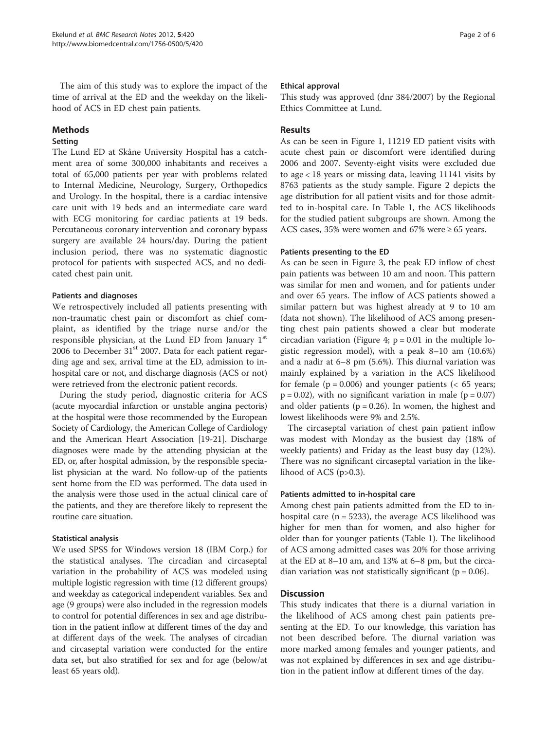The aim of this study was to explore the impact of the time of arrival at the ED and the weekday on the likelihood of ACS in ED chest pain patients.

## Methods

## Setting

The Lund ED at Skåne University Hospital has a catchment area of some 300,000 inhabitants and receives a total of 65,000 patients per year with problems related to Internal Medicine, Neurology, Surgery, Orthopedics and Urology. In the hospital, there is a cardiac intensive care unit with 19 beds and an intermediate care ward with ECG monitoring for cardiac patients at 19 beds. Percutaneous coronary intervention and coronary bypass surgery are available 24 hours/day. During the patient inclusion period, there was no systematic diagnostic protocol for patients with suspected ACS, and no dedicated chest pain unit.

## Patients and diagnoses

We retrospectively included all patients presenting with non-traumatic chest pain or discomfort as chief complaint, as identified by the triage nurse and/or the responsible physician, at the Lund ED from January  $1<sup>st</sup>$ 2006 to December  $31<sup>st</sup>$  2007. Data for each patient regarding age and sex, arrival time at the ED, admission to inhospital care or not, and discharge diagnosis (ACS or not) were retrieved from the electronic patient records.

During the study period, diagnostic criteria for ACS (acute myocardial infarction or unstable angina pectoris) at the hospital were those recommended by the European Society of Cardiology, the American College of Cardiology and the American Heart Association [\[19](#page-4-0)-[21](#page-4-0)]. Discharge diagnoses were made by the attending physician at the ED, or, after hospital admission, by the responsible specialist physician at the ward. No follow-up of the patients sent home from the ED was performed. The data used in the analysis were those used in the actual clinical care of the patients, and they are therefore likely to represent the routine care situation.

## Statistical analysis

We used SPSS for Windows version 18 (IBM Corp.) for the statistical analyses. The circadian and circaseptal variation in the probability of ACS was modeled using multiple logistic regression with time (12 different groups) and weekday as categorical independent variables. Sex and age (9 groups) were also included in the regression models to control for potential differences in sex and age distribution in the patient inflow at different times of the day and at different days of the week. The analyses of circadian and circaseptal variation were conducted for the entire data set, but also stratified for sex and for age (below/at least 65 years old).

## Ethical approval

This study was approved (dnr 384/2007) by the Regional Ethics Committee at Lund.

## Results

As can be seen in Figure [1,](#page-2-0) 11219 ED patient visits with acute chest pain or discomfort were identified during 2006 and 2007. Seventy-eight visits were excluded due to age < 18 years or missing data, leaving 11141 visits by 8763 patients as the study sample. Figure [2](#page-2-0) depicts the age distribution for all patient visits and for those admitted to in-hospital care. In Table [1,](#page-3-0) the ACS likelihoods for the studied patient subgroups are shown. Among the ACS cases, 35% were women and 67% were ≥ 65 years.

## Patients presenting to the ED

As can be seen in Figure [3,](#page-3-0) the peak ED inflow of chest pain patients was between 10 am and noon. This pattern was similar for men and women, and for patients under and over 65 years. The inflow of ACS patients showed a similar pattern but was highest already at 9 to 10 am (data not shown). The likelihood of ACS among presenting chest pain patients showed a clear but moderate circadian variation (Figure [4;](#page-3-0)  $p = 0.01$  in the multiple logistic regression model), with a peak 8–10 am (10.6%) and a nadir at 6–8 pm (5.6%). This diurnal variation was mainly explained by a variation in the ACS likelihood for female ( $p = 0.006$ ) and younger patients ( $< 65$  years;  $p = 0.02$ ), with no significant variation in male ( $p = 0.07$ ) and older patients ( $p = 0.26$ ). In women, the highest and lowest likelihoods were 9% and 2.5%.

The circaseptal variation of chest pain patient inflow was modest with Monday as the busiest day (18% of weekly patients) and Friday as the least busy day (12%). There was no significant circaseptal variation in the likelihood of ACS  $(p>0.3)$ .

## Patients admitted to in-hospital care

Among chest pain patients admitted from the ED to inhospital care  $(n = 5233)$ , the average ACS likelihood was higher for men than for women, and also higher for older than for younger patients (Table [1](#page-3-0)). The likelihood of ACS among admitted cases was 20% for those arriving at the ED at 8–10 am, and 13% at 6–8 pm, but the circadian variation was not statistically significant ( $p = 0.06$ ).

## **Discussion**

This study indicates that there is a diurnal variation in the likelihood of ACS among chest pain patients presenting at the ED. To our knowledge, this variation has not been described before. The diurnal variation was more marked among females and younger patients, and was not explained by differences in sex and age distribution in the patient inflow at different times of the day.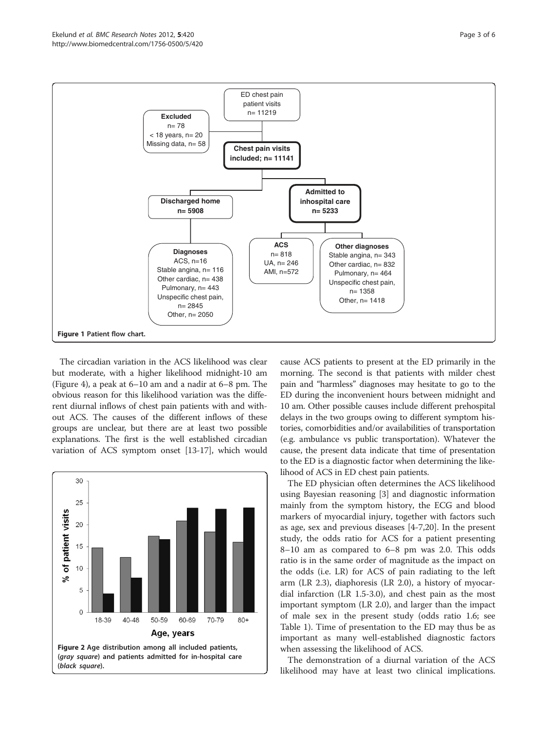<span id="page-2-0"></span>

The circadian variation in the ACS likelihood was clear but moderate, with a higher likelihood midnight-10 am (Figure [4\)](#page-3-0), a peak at 6–10 am and a nadir at 6–8 pm. The obvious reason for this likelihood variation was the different diurnal inflows of chest pain patients with and without ACS. The causes of the different inflows of these groups are unclear, but there are at least two possible explanations. The first is the well established circadian variation of ACS symptom onset [\[13-17\]](#page-4-0), which would



cause ACS patients to present at the ED primarily in the morning. The second is that patients with milder chest pain and "harmless" diagnoses may hesitate to go to the ED during the inconvenient hours between midnight and 10 am. Other possible causes include different prehospital delays in the two groups owing to different symptom histories, comorbidities and/or availabilities of transportation (e.g. ambulance vs public transportation). Whatever the cause, the present data indicate that time of presentation to the ED is a diagnostic factor when determining the likelihood of ACS in ED chest pain patients.

The ED physician often determines the ACS likelihood using Bayesian reasoning [\[3\]](#page-4-0) and diagnostic information mainly from the symptom history, the ECG and blood markers of myocardial injury, together with factors such as age, sex and previous diseases [\[4](#page-4-0)-[7,20\]](#page-4-0). In the present study, the odds ratio for ACS for a patient presenting 8–10 am as compared to 6–8 pm was 2.0. This odds ratio is in the same order of magnitude as the impact on the odds (i.e. LR) for ACS of pain radiating to the left arm (LR 2.3), diaphoresis (LR 2.0), a history of myocardial infarction (LR 1.5-3.0), and chest pain as the most important symptom (LR 2.0), and larger than the impact of male sex in the present study (odds ratio 1.6; see Table [1\)](#page-3-0). Time of presentation to the ED may thus be as important as many well-established diagnostic factors when assessing the likelihood of ACS.

The demonstration of a diurnal variation of the ACS likelihood may have at least two clinical implications.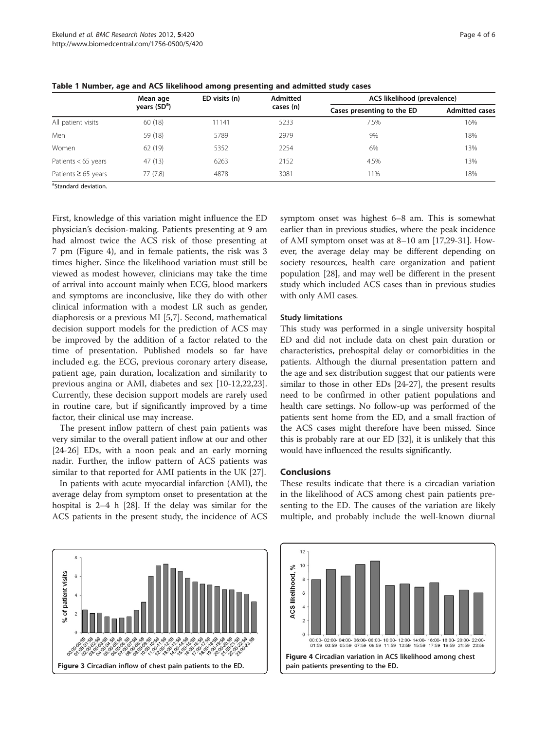|                          | Mean age<br>years (SD <sup>a</sup> ) | ED visits (n) | <b>Admitted</b><br>cases (n) | ACS likelihood (prevalence) |                       |
|--------------------------|--------------------------------------|---------------|------------------------------|-----------------------------|-----------------------|
|                          |                                      |               |                              | Cases presenting to the ED  | <b>Admitted cases</b> |
| All patient visits       | 60 (18)                              | 11141         | 5233                         | 7.5%                        | 16%                   |
| Men                      | 59 (18)                              | 5789          | 2979                         | 9%                          | 18%                   |
| Women                    | 62(19)                               | 5352          | 2254                         | 6%                          | 13%                   |
| Patients < 65 years      | 47 (13)                              | 6263          | 2152                         | 4.5%                        | 13%                   |
| Patients $\geq 65$ years | 77(7.8)                              | 4878          | 3081                         | 11%                         | 18%                   |

<span id="page-3-0"></span>Table 1 Number, age and ACS likelihood among presenting and admitted study cases

<sup>a</sup>Standard deviation.

First, knowledge of this variation might influence the ED physician's decision-making. Patients presenting at 9 am had almost twice the ACS risk of those presenting at 7 pm (Figure 4), and in female patients, the risk was 3 times higher. Since the likelihood variation must still be viewed as modest however, clinicians may take the time of arrival into account mainly when ECG, blood markers and symptoms are inconclusive, like they do with other clinical information with a modest LR such as gender, diaphoresis or a previous MI [[5](#page-4-0),[7\]](#page-4-0). Second, mathematical decision support models for the prediction of ACS may be improved by the addition of a factor related to the time of presentation. Published models so far have included e.g. the ECG, previous coronary artery disease, patient age, pain duration, localization and similarity to previous angina or AMI, diabetes and sex [\[10-12,22,23](#page-4-0)]. Currently, these decision support models are rarely used in routine care, but if significantly improved by a time factor, their clinical use may increase.

The present inflow pattern of chest pain patients was very similar to the overall patient inflow at our and other [[24-26](#page-4-0)] EDs, with a noon peak and an early morning nadir. Further, the inflow pattern of ACS patients was similar to that reported for AMI patients in the UK [\[27\]](#page-4-0).

In patients with acute myocardial infarction (AMI), the average delay from symptom onset to presentation at the hospital is 2–4 h [\[28\]](#page-4-0). If the delay was similar for the ACS patients in the present study, the incidence of ACS

of patient visits  $\epsilon$  $\overline{A}$ Figure 3 Circadian inflow of chest pain patients to the ED.

symptom onset was highest 6–8 am. This is somewhat earlier than in previous studies, where the peak incidence of AMI symptom onset was at 8–10 am [\[17,29](#page-4-0)-[31\]](#page-5-0). However, the average delay may be different depending on society resources, health care organization and patient population [[28](#page-4-0)], and may well be different in the present study which included ACS cases than in previous studies with only AMI cases.

### Study limitations

This study was performed in a single university hospital ED and did not include data on chest pain duration or characteristics, prehospital delay or comorbidities in the patients. Although the diurnal presentation pattern and the age and sex distribution suggest that our patients were similar to those in other EDs [\[24](#page-4-0)-[27](#page-4-0)], the present results need to be confirmed in other patient populations and health care settings. No follow-up was performed of the patients sent home from the ED, and a small fraction of the ACS cases might therefore have been missed. Since this is probably rare at our ED [[32](#page-5-0)], it is unlikely that this would have influenced the results significantly.

## **Conclusions**

These results indicate that there is a circadian variation in the likelihood of ACS among chest pain patients presenting to the ED. The causes of the variation are likely multiple, and probably include the well-known diurnal

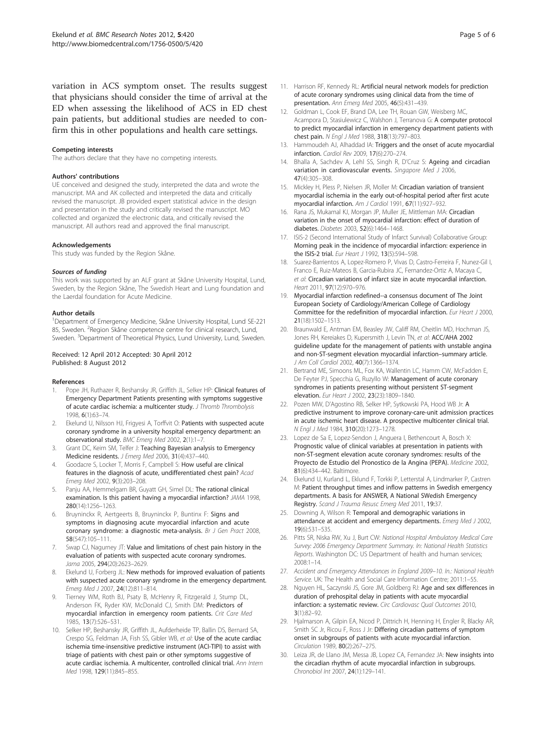<span id="page-4-0"></span>variation in ACS symptom onset. The results suggest that physicians should consider the time of arrival at the ED when assessing the likelihood of ACS in ED chest pain patients, but additional studies are needed to confirm this in other populations and health care settings.

#### Competing interests

The authors declare that they have no competing interests.

#### Authors' contributions

UE conceived and designed the study, interpreted the data and wrote the manuscript. MA and AK collected and interpreted the data and critically revised the manuscript. JB provided expert statistical advice in the design and presentation in the study and critically revised the manuscript. MO collected and organized the electronic data, and critically revised the manuscript. All authors read and approved the final manuscript.

#### Acknowledgements

This study was funded by the Region Skåne.

#### Sources of funding

This work was supported by an ALF grant at Skåne University Hospital, Lund, Sweden, by the Region Skåne, The Swedish Heart and Lung foundation and the Laerdal foundation for Acute Medicine.

#### Author details

<sup>1</sup>Department of Emergency Medicine, Skåne University Hospital, Lund SE-221 85, Sweden. <sup>2</sup>Region Skåne competence centre for clinical research, Lund, Sweden. <sup>3</sup>Department of Theoretical Physics, Lund University, Lund, Sweden.

#### Received: 12 April 2012 Accepted: 30 April 2012 Published: 8 August 2012

#### References

- 1. Pope JH, Ruthazer R, Beshansky JR, Griffith JL, Selker HP: Clinical features of Emergency Department Patients presenting with symptoms suggestive of acute cardiac ischemia: a multicenter study. *J Thromb Thrombolysis* 1998, 6(1):63–74.
- 2. Ekelund U, Nilsson HJ, Frigyesi A, Torffvit O: Patients with suspected acute coronary syndrome in a university hospital emergency department: an observational study. *BMC Emerg Med* 2002, 2(1):1–7.
- 3. Grant DC, Keim SM, Telfer J: Teaching Bayesian analysis to Emergency Medicine residents. *J Emerg Med* 2006, 31(4):437–440.
- Goodacre S, Locker T, Morris F, Campbell S: How useful are clinical features in the diagnosis of acute, undifferentiated chest pain? *Acad Emerg Med* 2002, 9(3):203–208.
- 5. Panju AA, Hemmelgarn BR, Guyatt GH, Simel DL: The rational clinical examination. Is this patient having a myocardial infarction? *JAMA* 1998, 280(14):1256–1263.
- Bruyninckx R, Aertgeerts B, Bruyninckx P, Buntinx F: Signs and symptoms in diagnosing acute myocardial infarction and acute coronary syndrome: a diagnostic meta-analysis. *Br J Gen Pract* 2008, 58(547):105–111.
- 7. Swap CJ, Nagurney JT: Value and limitations of chest pain history in the evaluation of patients with suspected acute coronary syndromes. *Jama* 2005, 294(20):2623–2629.
- Ekelund U, Forberg JL: New methods for improved evaluation of patients with suspected acute coronary syndrome in the emergency department. *Emerg Med J* 2007, 24(12):811–814.
- 9. Tierney WM, Roth BJ, Psaty B, McHenry R, Fitzgerald J, Stump DL, Anderson FK, Ryder KW, McDonald CJ, Smith DM: Predictors of myocardial infarction in emergency room patients. *Crit Care Med* 1985, 13(7):526–531.
- 10. Selker HP, Beshansky JR, Griffith JL, Aufderheide TP, Ballin DS, Bernard SA, Crespo SG, Feldman JA, Fish SS, Gibler WB, *et al*: Use of the acute cardiac ischemia time-insensitive predictive instrument (ACI-TIPI) to assist with triage of patients with chest pain or other symptoms suggestive of acute cardiac ischemia. A multicenter, controlled clinical trial. *Ann Intern Med* 1998, 129(11):845–855.
- 
- 11. Harrison RF, Kennedy RL: Artificial neural network models for prediction of acute coronary syndromes using clinical data from the time of presentation. *Ann Emerg Med* 2005, 46(5):431–439.
- 12. Goldman L, Cook EF, Brand DA, Lee TH, Rouan GW, Weisberg MC, Acampora D, Stasiulewicz C, Walshon J, Terranova G: A computer protocol to predict myocardial infarction in emergency department patients with chest pain. *N Engl J Med* 1988, 318(13):797–803.
- 13. Hammoudeh AJ, Alhaddad IA: Triggers and the onset of acute myocardial infarction. *Cardiol Rev* 2009, 17(6):270–274.
- 14. Bhalla A, Sachdev A, Lehl SS, Singh R, D'Cruz S: Ageing and circadian variation in cardiovascular events. *Singapore Med J* 2006, 47(4):305–308.
- 15. Mickley H, Pless P, Nielsen JR, Moller M: Circadian variation of transient myocardial ischemia in the early out-of-hospital period after first acute myocardial infarction. *Am J Cardiol* 1991, 67(11):927–932.
- 16. Rana JS, Mukamal KJ, Morgan JP, Muller JE, Mittleman MA: Circadian variation in the onset of myocardial infarction: effect of duration of diabetes. *Diabetes* 2003, 52(6):1464–1468.
- 17. ISIS-2 (Second International Study of Infarct Survival) Collaborative Group: Morning peak in the incidence of myocardial infarction: experience in the ISIS-2 trial. *Eur Heart J* 1992, 13(5):594–598.
- 18. Suarez-Barrientos A, Lopez-Romero P, Vivas D, Castro-Ferreira F, Nunez-Gil I, Franco E, Ruiz-Mateos B, Garcia-Rubira JC, Fernandez-Ortiz A, Macaya C, *et al*: Circadian variations of infarct size in acute myocardial infarction. *Heart* 2011, 97(12):970–976.
- 19. Myocardial infarction redefined--a consensus document of The Joint European Society of Cardiology/American College of Cardiology Committee for the redefinition of myocardial infarction. *Eur Heart J* 2000, 21(18):1502–1513.
- 20. Braunwald E, Antman EM, Beasley JW, Califf RM, Cheitlin MD, Hochman JS, Jones RH, Kereiakes D, Kupersmith J, Levin TN, *et al*: ACC/AHA 2002 guideline update for the management of patients with unstable angina and non-ST-segment elevation myocardial infarction–summary article. *J Am Coll Cardiol* 2002, 40(7):1366–1374.
- 21. Bertrand ME, Simoons ML, Fox KA, Wallentin LC, Hamm CW, McFadden E, De Feyter PJ, Specchia G, Ruzyllo W: Management of acute coronary syndromes in patients presenting without persistent ST-segment elevation. *Eur Heart J* 2002, 23(23):1809–1840.
- 22. Pozen MW, D'Agostino RB, Selker HP, Sytkowski PA, Hood WB Jr: A predictive instrument to improve coronary-care-unit admission practices in acute ischemic heart disease. A prospective multicenter clinical trial. *N Engl J Med* 1984, 310(20):1273–1278.
- 23. Lopez de Sa E, Lopez-Sendon J, Anguera I, Bethencourt A, Bosch X: Prognostic value of clinical variables at presentation in patients with non-ST-segment elevation acute coronary syndromes: results of the Proyecto de Estudio del Pronostico de la Angina (PEPA). *Medicine* 2002, 81(6):434–442. Baltimore.
- 24. Ekelund U, Kurland L, Eklund F, Torkki P, Letterstal A, Lindmarker P, Castren M: Patient throughput times and inflow patterns in Swedish emergency departments. A basis for ANSWER, A National SWedish Emergency Registry. *Scand J Trauma Resusc Emerg Med* 2011, 19:37.
- 25. Downing A, Wilson R: Temporal and demographic variations in attendance at accident and emergency departments. *Emerg Med J* 2002, 19(6):531–535.
- 26. Pitts SR, Niska RW, Xu J, Burt CW: *National Hospital Ambulatory Medical Care Survey: 2006 Emergency Department Summary. In: National Health Statistics Reports*. Washington DC: US Department of health and human services; 2008:1–14.
- 27. *Accident and Emergency Attendances in England 2009*–*10. In.: National Health Service*. UK: The Health and Social Care Information Centre; 2011:1–55.
- 28. Nguyen HL, Saczynski JS, Gore JM, Goldberg RJ: Age and sex differences in duration of prehospital delay in patients with acute myocardial infarction: a systematic review. *Circ Cardiovasc Qual Outcomes* 2010, 3(1):82–92.
- 29. Hjalmarson A, Gilpin EA, Nicod P, Dittrich H, Henning H, Engler R, Blacky AR, Smith SC Jr, Ricou F, Ross J Jr: Differing circadian patterns of symptom onset in subgroups of patients with acute myocardial infarction. *Circulation* 1989, 80(2):267–275.
- 30. Leiza JR, de Llano JM, Messa JB, Lopez CA, Fernandez JA: New insights into the circadian rhythm of acute myocardial infarction in subgroups. *Chronobiol Int* 2007, 24(1):129–141.